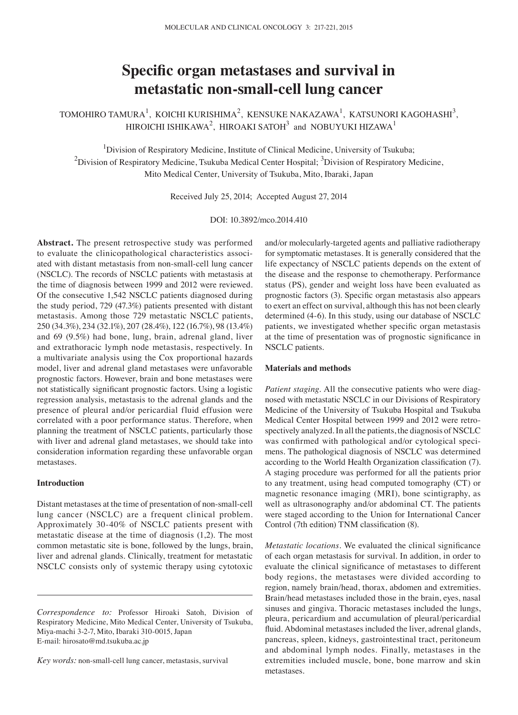# **Specific organ metastases and survival in metastatic non‑small‑cell lung cancer**

TOMOHIRO TAMURA $^1$ , KOICHI KURISHIMA $^2$ , KENSUKE NAKAZAWA $^1$ , KATSUNORI KAGOHASHI $^3$ , HIROICHI ISHIKAWA<sup>2</sup>, HIROAKI SATOH<sup>3</sup> and NOBUYUKI HIZAWA<sup>1</sup>

<sup>1</sup>Division of Respiratory Medicine, Institute of Clinical Medicine, University of Tsukuba;  $^{2}$ Division of Respiratory Medicine, Tsukuba Medical Center Hospital;  $^{3}$ Division of Respiratory Medicine, Mito Medical Center, University of Tsukuba, Mito, Ibaraki, Japan

Received July 25, 2014; Accepted August 27, 2014

DOI: 10.3892/mco.2014.410

**Abstract.** The present retrospective study was performed to evaluate the clinicopathological characteristics associated with distant metastasis from non-small-cell lung cancer (NSCLC). The records of NSCLC patients with metastasis at the time of diagnosis between 1999 and 2012 were reviewed. Of the consecutive 1,542 NSCLC patients diagnosed during the study period, 729 (47.3%) patients presented with distant metastasis. Among those 729 metastatic NSCLC patients, 250 (34.3%), 234 (32.1%), 207 (28.4%), 122 (16.7%), 98 (13.4%) and 69 (9.5%) had bone, lung, brain, adrenal gland, liver and extrathoracic lymph node metastasis, respectively. In a multivariate analysis using the Cox proportional hazards model, liver and adrenal gland metastases were unfavorable prognostic factors. However, brain and bone metastases were not statistically significant prognostic factors. Using a logistic regression analysis, metastasis to the adrenal glands and the presence of pleural and/or pericardial fluid effusion were correlated with a poor performance status. Therefore, when planning the treatment of NSCLC patients, particularly those with liver and adrenal gland metastases, we should take into consideration information regarding these unfavorable organ metastases.

# **Introduction**

Distant metastases at the time of presentation of non-small-cell lung cancer (NSCLC) are a frequent clinical problem. Approximately 30-40% of NSCLC patients present with metastatic disease at the time of diagnosis (1,2). The most common metastatic site is bone, followed by the lungs, brain, liver and adrenal glands. Clinically, treatment for metastatic NSCLC consists only of systemic therapy using cytotoxic

and/or molecularly-targeted agents and palliative radiotherapy for symptomatic metastases. It is generally considered that the life expectancy of NSCLC patients depends on the extent of the disease and the response to chemotherapy. Performance status (PS), gender and weight loss have been evaluated as prognostic factors (3). Specific organ metastasis also appears to exert an effect on survival, although this has not been clearly determined (4-6). In this study, using our database of NSCLC patients, we investigated whether specific organ metastasis at the time of presentation was of prognostic significance in NSCLC patients.

#### **Materials and methods**

*Patient staging.* All the consecutive patients who were diagnosed with metastatic NSCLC in our Divisions of Respiratory Medicine of the University of Tsukuba Hospital and Tsukuba Medical Center Hospital between 1999 and 2012 were retrospectively analyzed. In all the patients, the diagnosis of NSCLC was confirmed with pathological and/or cytological specimens. The pathological diagnosis of NSCLC was determined according to the World Health Organization classification (7). A staging procedure was performed for all the patients prior to any treatment, using head computed tomography (CT) or magnetic resonance imaging (MRI), bone scintigraphy, as well as ultrasonography and/or abdominal CT. The patients were staged according to the Union for International Cancer Control (7th edition) TNM classification (8).

*Metastatic locations.* We evaluated the clinical significance of each organ metastasis for survival. In addition, in order to evaluate the clinical significance of metastases to different body regions, the metastases were divided according to region, namely brain/head, thorax, abdomen and extremities. Brain/head metastases included those in the brain, eyes, nasal sinuses and gingiva. Thoracic metastases included the lungs, pleura, pericardium and accumulation of pleural/pericardial fluid. Abdominal metastases included the liver, adrenal glands, pancreas, spleen, kidneys, gastrointestinal tract, peritoneum and abdominal lymph nodes. Finally, metastases in the extremities included muscle, bone, bone marrow and skin metastases.

*Correspondence to:* Professor Hiroaki Satoh, Division of Respiratory Medicine, Mito Medical Center, University of Tsukuba, Miya-machi 3-2-7, Mito, Ibaraki 310-0015, Japan E-mail: hirosato@md.tsukuba.ac.jp

*Key words:* non-small-cell lung cancer, metastasis, survival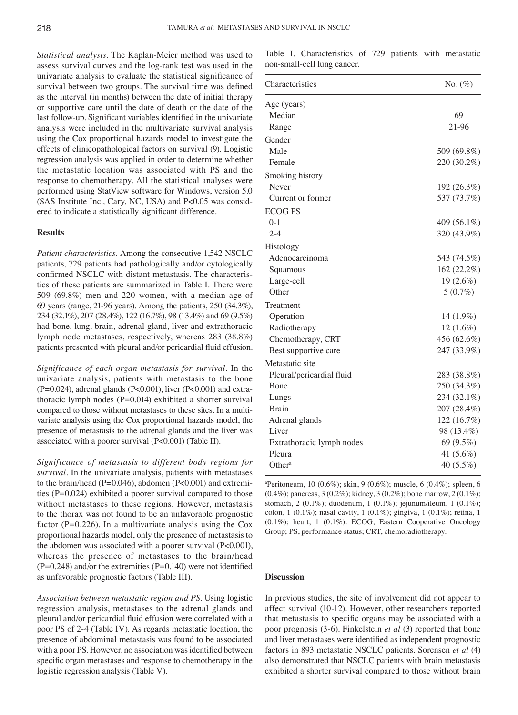*Statistical analysis.* The Kaplan-Meier method was used to assess survival curves and the log-rank test was used in the univariate analysis to evaluate the statistical significance of survival between two groups. The survival time was defined as the interval (in months) between the date of initial therapy or supportive care until the date of death or the date of the last follow‑up. Significant variables identified in the univariate analysis were included in the multivariate survival analysis using the Cox proportional hazards model to investigate the effects of clinicopathological factors on survival (9). Logistic regression analysis was applied in order to determine whether the metastatic location was associated with PS and the response to chemotherapy. All the statistical analyses were performed using StatView software for Windows, version 5.0 (SAS Institute Inc., Cary, NC, USA) and P<0.05 was considered to indicate a statistically significant difference.

### **Results**

*Patient characteristics.* Among the consecutive 1,542 NSCLC patients, 729 patients had pathologically and/or cytologically confirmed NSCLC with distant metastasis. The characteristics of these patients are summarized in Table I. There were 509 (69.8%) men and 220 women, with a median age of 69 years (range, 21-96 years). Among the patients, 250 (34.3%), 234 (32.1%), 207 (28.4%), 122 (16.7%), 98 (13.4%) and 69 (9.5%) had bone, lung, brain, adrenal gland, liver and extrathoracic lymph node metastases, respectively, whereas 283 (38.8%) patients presented with pleural and/or pericardial fluid effusion.

*Significance of each organ metastasis for survival.* In the univariate analysis, patients with metastasis to the bone  $(P=0.024)$ , adrenal glands  $(P<0.001)$ , liver  $(P<0.001)$  and extrathoracic lymph nodes (P=0.014) exhibited a shorter survival compared to those without metastases to these sites. In a multivariate analysis using the Cox proportional hazards model, the presence of metastasis to the adrenal glands and the liver was associated with a poorer survival (P<0.001) (Table II).

*Significance of metastasis to different body regions for survival.* In the univariate analysis, patients with metastases to the brain/head (P=0.046), abdomen (P<0.001) and extremities (P=0.024) exhibited a poorer survival compared to those without metastases to these regions. However, metastasis to the thorax was not found to be an unfavorable prognostic factor (P=0.226). In a multivariate analysis using the Cox proportional hazards model, only the presence of metastasis to the abdomen was associated with a poorer survival (P<0.001), whereas the presence of metastases to the brain/head  $(P=0.248)$  and/or the extremities  $(P=0.140)$  were not identified as unfavorable prognostic factors (Table III).

*Association between metastatic region and PS.* Using logistic regression analysis, metastases to the adrenal glands and pleural and/or pericardial fluid effusion were correlated with a poor PS of 2-4 (Table IV). As regards metastatic location, the presence of abdominal metastasis was found to be associated with a poor PS. However, no association was identified between specific organ metastases and response to chemotherapy in the logistic regression analysis (Table V).

Table I. Characteristics of 729 patients with metastatic non-small-cell lung cancer.

| Characteristics           | $No. (\%)$   |
|---------------------------|--------------|
| Age (years)               |              |
| Median                    | 69           |
| Range                     | 21-96        |
| Gender                    |              |
| Male                      | 509 (69.8%)  |
| Female                    | 220 (30.2%)  |
| Smoking history           |              |
| Never                     | 192 (26.3%)  |
| Current or former         | 537 (73.7%)  |
| <b>ECOG PS</b>            |              |
| $0-1$                     | 409 (56.1%)  |
| $2 - 4$                   | 320 (43.9%)  |
| Histology                 |              |
| Adenocarcinoma            | 543 (74.5%)  |
| Squamous                  | 162 (22.2%)  |
| Large-cell                | $19(2.6\%)$  |
| Other                     | $5(0.7\%)$   |
| Treatment                 |              |
| Operation                 | $14(1.9\%)$  |
| Radiotherapy              | $12(1.6\%)$  |
| Chemotherapy, CRT         | 456 (62.6%)  |
| Best supportive care      | 247 (33.9%)  |
| Metastatic site           |              |
| Pleural/pericardial fluid | 283 (38.8%)  |
| Bone                      | 250 (34.3%)  |
| Lungs                     | 234 (32.1%)  |
| <b>Brain</b>              | 207 (28.4%)  |
| Adrenal glands            | 122 (16.7%)  |
| Liver                     | 98 (13.4%)   |
| Extrathoracic lymph nodes | 69 (9.5%)    |
| Pleura                    | 41 $(5.6\%)$ |
| Other <sup>a</sup>        | 40 (5.5%)    |

a Peritoneum, 10 (0.6%); skin, 9 (0.6%); muscle, 6 (0.4%); spleen, 6 (0.4%); pancreas, 3 (0.2%); kidney, 3 (0.2%); bone marrow, 2 (0.1%); stomach, 2 (0.1%); duodenum, 1 (0.1%); jejunum/ileum, 1 (0.1%); colon, 1 (0.1%); nasal cavity, 1 (0.1%); gingiva, 1 (0.1%); retina, 1 (0.1%); heart, 1 (0.1%). ECOG, Eastern Cooperative Oncology Group; PS, performance status; CRT, chemoradiotherapy.

## **Discussion**

In previous studies, the site of involvement did not appear to affect survival (10-12). However, other researchers reported that metastasis to specific organs may be associated with a poor prognosis (3-6). Finkelstein *et al* (3) reported that bone and liver metastases were identified as independent prognostic factors in 893 metastatic NSCLC patients. Sorensen *et al* (4) also demonstrated that NSCLC patients with brain metastasis exhibited a shorter survival compared to those without brain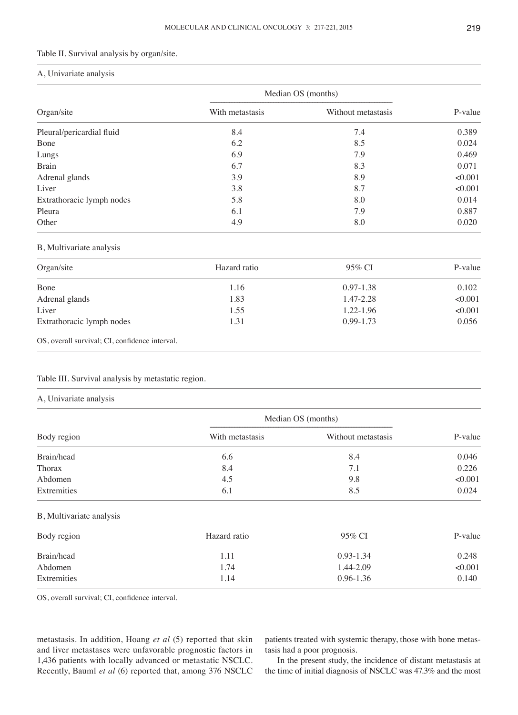## Table II. Survival analysis by organ/site.

## A, Univariate analysis

| Organ/site                | Median OS (months) |                    |         |
|---------------------------|--------------------|--------------------|---------|
|                           | With metastasis    | Without metastasis | P-value |
| Pleural/pericardial fluid | 8.4                | 7.4                | 0.389   |
| Bone                      | 6.2                | 8.5                | 0.024   |
| Lungs                     | 6.9                | 7.9                | 0.469   |
| <b>Brain</b>              | 6.7                | 8.3                | 0.071   |
| Adrenal glands            | 3.9                | 8.9                | < 0.001 |
| Liver                     | 3.8                | 8.7                | < 0.001 |
| Extrathoracic lymph nodes | 5.8                | 8.0                | 0.014   |
| Pleura                    | 6.1                | 7.9                | 0.887   |
| Other                     | 4.9                | 8.0                | 0.020   |

# B, Multivariate analysis

| Hazard ratio | 95% CI        | P-value |
|--------------|---------------|---------|
| 1.16         | $0.97 - 1.38$ | 0.102   |
| 1.83         | 1.47-2.28     | <0.001  |
| 1.55         | 1.22-1.96     | < 0.001 |
| 1.31         | $0.99 - 1.73$ | 0.056   |
|              |               |         |

OS, overall survival; CI, confidence interval.

# Table III. Survival analysis by metastatic region.

### A, Univariate analysis

| Body region | Median OS (months) |                    |         |
|-------------|--------------------|--------------------|---------|
|             | With metastasis    | Without metastasis | P-value |
| Brain/head  | 6.6                | 8.4                | 0.046   |
| Thorax      | 8.4                | 7.1                | 0.226   |
| Abdomen     | 4.5                | 9.8                | < 0.001 |
| Extremities | 6.1                | 8.5                | 0.024   |

#### B, Multivariate analysis

| Body region | Hazard ratio | 95% CI        | P-value |
|-------------|--------------|---------------|---------|
| Brain/head  | 1.11         | $0.93 - 1.34$ | 0.248   |
| Abdomen     | 1.74         | 1.44-2.09     | < 0.001 |
| Extremities | 1.14         | $0.96 - 1.36$ | 0.140   |

OS, overall survival; CI, confidence interval.

metastasis. In addition, Hoang *et al* (5) reported that skin and liver metastases were unfavorable prognostic factors in 1,436 patients with locally advanced or metastatic NSCLC. Recently, Bauml *et al* (6) reported that, among 376 NSCLC

patients treated with systemic therapy, those with bone metastasis had a poor prognosis.

In the present study, the incidence of distant metastasis at the time of initial diagnosis of NSCLC was 47.3% and the most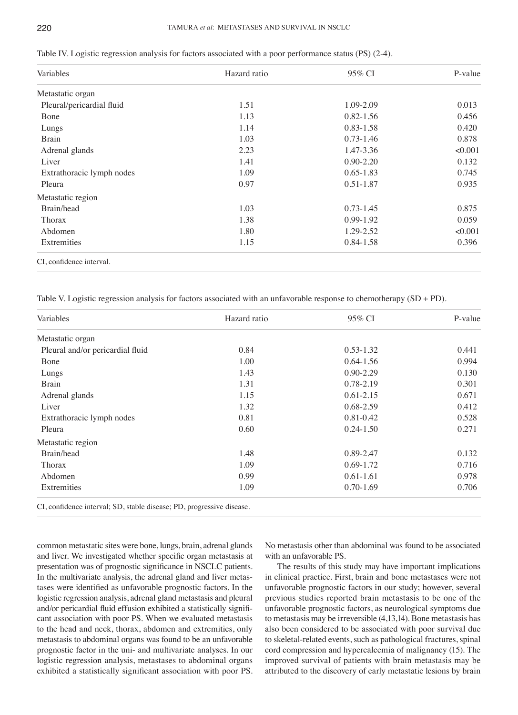| Variables                 | Hazard ratio | 95% CI        | P-value |
|---------------------------|--------------|---------------|---------|
| Metastatic organ          |              |               |         |
| Pleural/pericardial fluid | 1.51         | 1.09-2.09     | 0.013   |
| Bone                      | 1.13         | $0.82 - 1.56$ | 0.456   |
| Lungs                     | 1.14         | 0.83-1.58     | 0.420   |
| <b>Brain</b>              | 1.03         | $0.73 - 1.46$ | 0.878   |
| Adrenal glands            | 2.23         | 1.47-3.36     | < 0.001 |
| Liver                     | 1.41         | $0.90 - 2.20$ | 0.132   |
| Extrathoracic lymph nodes | 1.09         | $0.65 - 1.83$ | 0.745   |
| Pleura                    | 0.97         | 0.51-1.87     | 0.935   |
| Metastatic region         |              |               |         |
| Brain/head                | 1.03         | $0.73 - 1.45$ | 0.875   |
| Thorax                    | 1.38         | 0.99-1.92     | 0.059   |
| Abdomen                   | 1.80         | 1.29-2.52     | < 0.001 |
| Extremities               | 1.15         | 0.84-1.58     | 0.396   |

Table IV. Logistic regression analysis for factors associated with a poor performance status (PS) (2-4).

Table V. Logistic regression analysis for factors associated with an unfavorable response to chemotherapy  $(SD + PD)$ .

| Variables                        | Hazard ratio | 95% CI        | P-value |
|----------------------------------|--------------|---------------|---------|
| Metastatic organ                 |              |               |         |
| Pleural and/or pericardial fluid | 0.84         | $0.53 - 1.32$ | 0.441   |
| Bone                             | 1.00         | $0.64 - 1.56$ | 0.994   |
| Lungs                            | 1.43         | $0.90 - 2.29$ | 0.130   |
| <b>Brain</b>                     | 1.31         | 0.78-2.19     | 0.301   |
| Adrenal glands                   | 1.15         | $0.61 - 2.15$ | 0.671   |
| Liver                            | 1.32         | $0.68 - 2.59$ | 0.412   |
| Extrathoracic lymph nodes        | 0.81         | 0.81-0.42     | 0.528   |
| Pleura                           | 0.60         | $0.24 - 1.50$ | 0.271   |
| Metastatic region                |              |               |         |
| Brain/head                       | 1.48         | 0.89-2.47     | 0.132   |
| Thorax                           | 1.09         | $0.69 - 1.72$ | 0.716   |
| Abdomen                          | 0.99         | $0.61 - 1.61$ | 0.978   |
| Extremities                      | 1.09         | $0.70 - 1.69$ | 0.706   |

CI, confidence interval; SD, stable disease; PD, progressive disease.

common metastatic sites were bone, lungs, brain, adrenal glands and liver. We investigated whether specific organ metastasis at presentation was of prognostic significance in NSCLC patients. In the multivariate analysis, the adrenal gland and liver metastases were identified as unfavorable prognostic factors. In the logistic regression analysis, adrenal gland metastasis and pleural and/or pericardial fluid effusion exhibited a statistically significant association with poor PS. When we evaluated metastasis to the head and neck, thorax, abdomen and extremities, only metastasis to abdominal organs was found to be an unfavorable prognostic factor in the uni- and multivariate analyses. In our logistic regression analysis, metastases to abdominal organs exhibited a statistically significant association with poor PS. No metastasis other than abdominal was found to be associated with an unfavorable PS.

The results of this study may have important implications in clinical practice. First, brain and bone metastases were not unfavorable prognostic factors in our study; however, several previous studies reported brain metastasis to be one of the unfavorable prognostic factors, as neurological symptoms due to metastasis may be irreversible (4,13,14). Bone metastasis has also been considered to be associated with poor survival due to skeletal-related events, such as pathological fractures, spinal cord compression and hypercalcemia of malignancy (15). The improved survival of patients with brain metastasis may be attributed to the discovery of early metastatic lesions by brain